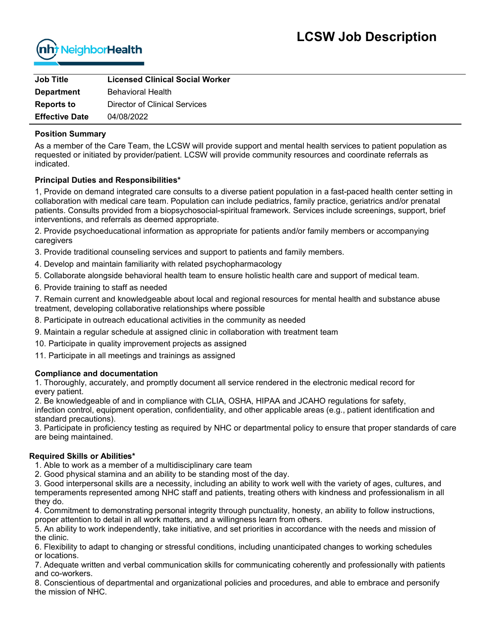

| <b>Job Title</b>      | <b>Licensed Clinical Social Worker</b> |
|-----------------------|----------------------------------------|
| <b>Department</b>     | <b>Behavioral Health</b>               |
| <b>Reports to</b>     | Director of Clinical Services          |
| <b>Effective Date</b> | 04/08/2022                             |

#### **Position Summary**

As a member of the Care Team, the LCSW will provide support and mental health services to patient population as requested or initiated by provider/patient. LCSW will provide community resources and coordinate referrals as indicated.

### **Principal Duties and Responsibilities\***

1, Provide on demand integrated care consults to a diverse patient population in a fast-paced health center setting in collaboration with medical care team. Population can include pediatrics, family practice, geriatrics and/or prenatal patients. Consults provided from a biopsychosocial-spiritual framework. Services include screenings, support, brief interventions, and referrals as deemed appropriate.

2. Provide psychoeducational information as appropriate for patients and/or family members or accompanying caregivers

3. Provide traditional counseling services and support to patients and family members.

- 4. Develop and maintain familiarity with related psychopharmacology
- 5. Collaborate alongside behavioral health team to ensure holistic health care and support of medical team.
- 6. Provide training to staff as needed

7. Remain current and knowledgeable about local and regional resources for mental health and substance abuse treatment, developing collaborative relationships where possible

8. Participate in outreach educational activities in the community as needed

9. Maintain a regular schedule at assigned clinic in collaboration with treatment team

10. Participate in quality improvement projects as assigned

11. Participate in all meetings and trainings as assigned

### **Compliance and documentation**

1. Thoroughly, accurately, and promptly document all service rendered in the electronic medical record for every patient.

2. Be knowledgeable of and in compliance with CLIA, OSHA, HIPAA and JCAHO regulations for safety,

infection control, equipment operation, confidentiality, and other applicable areas (e.g., patient identification and standard precautions).

3. Participate in proficiency testing as required by NHC or departmental policy to ensure that proper standards of care are being maintained.

### **Required Skills or Abilities\***

1. Able to work as a member of a multidisciplinary care team

2. Good physical stamina and an ability to be standing most of the day.

3. Good interpersonal skills are a necessity, including an ability to work well with the variety of ages, cultures, and temperaments represented among NHC staff and patients, treating others with kindness and professionalism in all they do.

4. Commitment to demonstrating personal integrity through punctuality, honesty, an ability to follow instructions, proper attention to detail in all work matters, and a willingness learn from others.

5. An ability to work independently, take initiative, and set priorities in accordance with the needs and mission of the clinic.

6. Flexibility to adapt to changing or stressful conditions, including unanticipated changes to working schedules or locations.

7. Adequate written and verbal communication skills for communicating coherently and professionally with patients and co-workers.

8. Conscientious of departmental and organizational policies and procedures, and able to embrace and personify the mission of NHC.